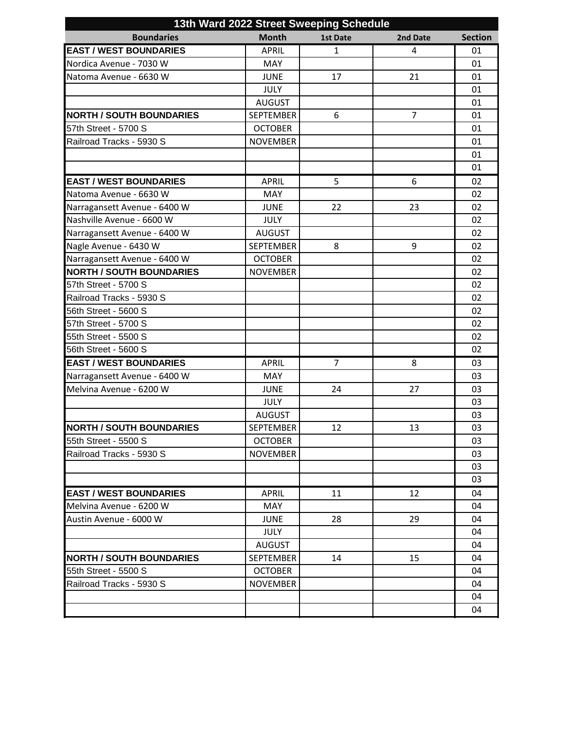| 13th Ward 2022 Street Sweeping Schedule |                  |                 |                |                |
|-----------------------------------------|------------------|-----------------|----------------|----------------|
| <b>Boundaries</b>                       | <b>Month</b>     | <b>1st Date</b> | 2nd Date       | <b>Section</b> |
| <b>EAST / WEST BOUNDARIES</b>           | <b>APRIL</b>     | $\mathbf{1}$    | 4              | 01             |
| Nordica Avenue - 7030 W                 | <b>MAY</b>       |                 |                | 01             |
| Natoma Avenue - 6630 W                  | <b>JUNE</b>      | 17              | 21             | 01             |
|                                         | <b>JULY</b>      |                 |                | 01             |
|                                         | <b>AUGUST</b>    |                 |                | 01             |
| <b>NORTH / SOUTH BOUNDARIES</b>         | <b>SEPTEMBER</b> | 6               | $\overline{7}$ | 01             |
| 57th Street - 5700 S                    | <b>OCTOBER</b>   |                 |                | 01             |
| Railroad Tracks - 5930 S                | <b>NOVEMBER</b>  |                 |                | 01             |
|                                         |                  |                 |                | 01             |
|                                         |                  |                 |                | 01             |
| <b>EAST / WEST BOUNDARIES</b>           | <b>APRIL</b>     | 5               | 6              | 02             |
| Natoma Avenue - 6630 W                  | MAY              |                 |                | 02             |
| Narragansett Avenue - 6400 W            | <b>JUNE</b>      | 22              | 23             | 02             |
| Nashville Avenue - 6600 W               | <b>JULY</b>      |                 |                | 02             |
| Narragansett Avenue - 6400 W            | <b>AUGUST</b>    |                 |                | 02             |
| Nagle Avenue - 6430 W                   | <b>SEPTEMBER</b> | 8               | 9              | 02             |
| Narragansett Avenue - 6400 W            | <b>OCTOBER</b>   |                 |                | 02             |
| <b>NORTH / SOUTH BOUNDARIES</b>         | <b>NOVEMBER</b>  |                 |                | 02             |
| 57th Street - 5700 S                    |                  |                 |                | 02             |
| Railroad Tracks - 5930 S                |                  |                 |                | 02             |
| 56th Street - 5600 S                    |                  |                 |                | 02             |
| 57th Street - 5700 S                    |                  |                 |                | 02             |
| 55th Street - 5500 S                    |                  |                 |                | 02             |
| 56th Street - 5600 S                    |                  |                 |                | 02             |
| <b>EAST / WEST BOUNDARIES</b>           | <b>APRIL</b>     | $\overline{7}$  | 8              | 03             |
| Narragansett Avenue - 6400 W            | <b>MAY</b>       |                 |                | 03             |
| Melvina Avenue - 6200 W                 | <b>JUNE</b>      | 24              | 27             | 03             |
|                                         | <b>JULY</b>      |                 |                | 03             |
|                                         | <b>AUGUST</b>    |                 |                | 03             |
| <b>NORTH / SOUTH BOUNDARIES</b>         | <b>SEPTEMBER</b> | 12              | 13             | 03             |
| 55th Street - 5500 S                    | <b>OCTOBER</b>   |                 |                | 03             |
| Railroad Tracks - 5930 S                | <b>NOVEMBER</b>  |                 |                | 03             |
|                                         |                  |                 |                | 03             |
|                                         |                  |                 |                | 03             |
| <b>EAST / WEST BOUNDARIES</b>           | <b>APRIL</b>     | 11              | 12             | 04             |
| Melvina Avenue - 6200 W                 | <b>MAY</b>       |                 |                | 04             |
| Austin Avenue - 6000 W                  | <b>JUNE</b>      | 28              | 29             | 04             |
|                                         | <b>JULY</b>      |                 |                | 04             |
|                                         | <b>AUGUST</b>    |                 |                | 04             |
| <b>NORTH / SOUTH BOUNDARIES</b>         | SEPTEMBER        | 14              | 15             | 04             |
| 55th Street - 5500 S                    | <b>OCTOBER</b>   |                 |                | 04             |
| Railroad Tracks - 5930 S                | <b>NOVEMBER</b>  |                 |                | 04             |
|                                         |                  |                 |                | 04             |
|                                         |                  |                 |                | 04             |
|                                         |                  |                 |                |                |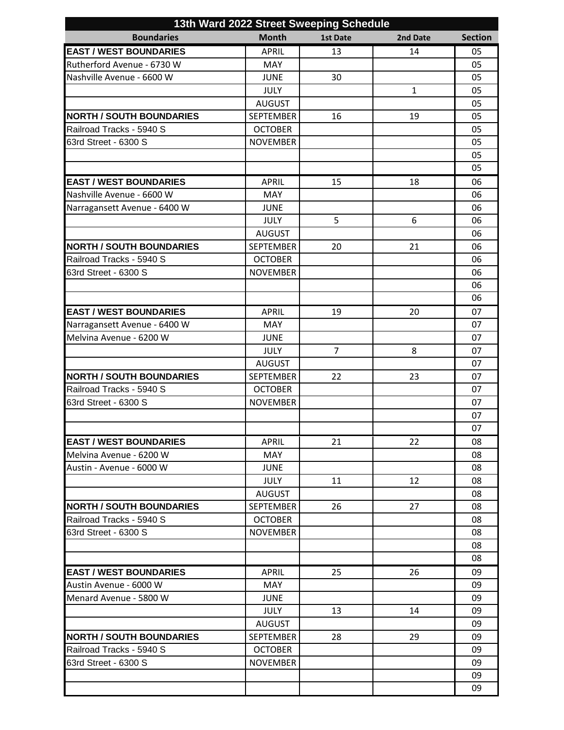| 13th Ward 2022 Street Sweeping Schedule |                            |                 |              |                |
|-----------------------------------------|----------------------------|-----------------|--------------|----------------|
| <b>Boundaries</b>                       | <b>Month</b>               | <b>1st Date</b> | 2nd Date     | <b>Section</b> |
| <b>EAST / WEST BOUNDARIES</b>           | <b>APRIL</b>               | 13              | 14           | 05             |
| Rutherford Avenue - 6730 W              | <b>MAY</b>                 |                 |              | 05             |
| Nashville Avenue - 6600 W               | <b>JUNE</b>                | 30              |              | 05             |
|                                         | <b>JULY</b>                |                 | $\mathbf{1}$ | 05             |
|                                         | <b>AUGUST</b>              |                 |              | 05             |
| <b>NORTH / SOUTH BOUNDARIES</b>         | <b>SEPTEMBER</b>           | 16              | 19           | 05             |
| Railroad Tracks - 5940 S                | <b>OCTOBER</b>             |                 |              | 05             |
| 63rd Street - 6300 S                    | <b>NOVEMBER</b>            |                 |              | 05             |
|                                         |                            |                 |              | 05             |
|                                         |                            |                 |              | 05             |
| <b>EAST / WEST BOUNDARIES</b>           | <b>APRIL</b>               | 15              | 18           | 06             |
| Nashville Avenue - 6600 W               | <b>MAY</b>                 |                 |              | 06             |
| Narragansett Avenue - 6400 W            | <b>JUNE</b>                |                 |              | 06             |
|                                         | <b>JULY</b>                | 5               | 6            | 06             |
|                                         | <b>AUGUST</b>              |                 |              | 06             |
| <b>NORTH / SOUTH BOUNDARIES</b>         | <b>SEPTEMBER</b>           | 20              | 21           | 06             |
| Railroad Tracks - 5940 S                | <b>OCTOBER</b>             |                 |              | 06             |
| 63rd Street - 6300 S                    | <b>NOVEMBER</b>            |                 |              | 06             |
|                                         |                            |                 |              | 06             |
|                                         |                            |                 |              | 06             |
| <b>EAST / WEST BOUNDARIES</b>           | <b>APRIL</b>               | 19              | 20           | 07             |
| Narragansett Avenue - 6400 W            | MAY                        |                 |              | 07             |
| Melvina Avenue - 6200 W                 | <b>JUNE</b>                |                 |              | 07             |
|                                         | <b>JULY</b>                | $\overline{7}$  | 8            | 07             |
|                                         | <b>AUGUST</b>              |                 |              | 07             |
| <b>NORTH / SOUTH BOUNDARIES</b>         | <b>SEPTEMBER</b>           | 22              | 23           | 07             |
| Railroad Tracks - 5940 S                | <b>OCTOBER</b>             |                 |              | 07             |
| 63rd Street - 6300 S                    | <b>NOVEMBER</b>            |                 |              | 07             |
|                                         |                            |                 |              | 07<br>07       |
| <b>EAST / WEST BOUNDARIES</b>           |                            |                 |              |                |
| Melvina Avenue - 6200 W                 | <b>APRIL</b><br><b>MAY</b> | 21              | 22           | 08<br>08       |
| Austin - Avenue - 6000 W                | <b>JUNE</b>                |                 |              | 08             |
|                                         | <b>JULY</b>                | 11              | 12           | 08             |
|                                         | <b>AUGUST</b>              |                 |              | 08             |
| <b>NORTH / SOUTH BOUNDARIES</b>         | <b>SEPTEMBER</b>           | 26              | 27           | 08             |
| Railroad Tracks - 5940 S                | <b>OCTOBER</b>             |                 |              | 08             |
| 63rd Street - 6300 S                    | <b>NOVEMBER</b>            |                 |              | 08             |
|                                         |                            |                 |              | 08             |
|                                         |                            |                 |              | 08             |
| <b>EAST / WEST BOUNDARIES</b>           | <b>APRIL</b>               | 25              | 26           | 09             |
| Austin Avenue - 6000 W                  | MAY                        |                 |              | 09             |
| Menard Avenue - 5800 W                  | <b>JUNE</b>                |                 |              | 09             |
|                                         | <b>JULY</b>                | 13              | 14           | 09             |
|                                         | <b>AUGUST</b>              |                 |              | 09             |
| <b>NORTH / SOUTH BOUNDARIES</b>         | <b>SEPTEMBER</b>           | 28              | 29           | 09             |
| Railroad Tracks - 5940 S                | <b>OCTOBER</b>             |                 |              | 09             |
| 63rd Street - 6300 S                    | <b>NOVEMBER</b>            |                 |              | 09             |
|                                         |                            |                 |              | 09             |
|                                         |                            |                 |              | 09             |
|                                         |                            |                 |              |                |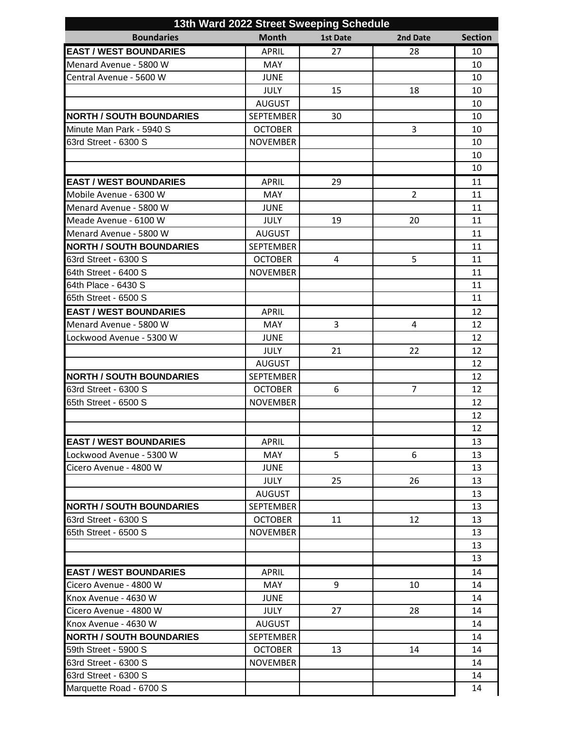| 13th Ward 2022 Street Sweeping Schedule |                  |          |                |                |
|-----------------------------------------|------------------|----------|----------------|----------------|
| <b>Boundaries</b>                       | <b>Month</b>     | 1st Date | 2nd Date       | <b>Section</b> |
| <b>EAST / WEST BOUNDARIES</b>           | <b>APRIL</b>     | 27       | 28             | 10             |
| Menard Avenue - 5800 W                  | <b>MAY</b>       |          |                | 10             |
| Central Avenue - 5600 W                 | <b>JUNE</b>      |          |                | 10             |
|                                         | <b>JULY</b>      | 15       | 18             | 10             |
|                                         | <b>AUGUST</b>    |          |                | 10             |
| <b>NORTH / SOUTH BOUNDARIES</b>         | <b>SEPTEMBER</b> | 30       |                | 10             |
| Minute Man Park - 5940 S                | <b>OCTOBER</b>   |          | 3              | 10             |
| 63rd Street - 6300 S                    | <b>NOVEMBER</b>  |          |                | 10             |
|                                         |                  |          |                | 10             |
|                                         |                  |          |                | 10             |
| <b>EAST / WEST BOUNDARIES</b>           | <b>APRIL</b>     | 29       |                | 11             |
| Mobile Avenue - 6300 W                  | <b>MAY</b>       |          | $\overline{2}$ | 11             |
| Menard Avenue - 5800 W                  | <b>JUNE</b>      |          |                | 11             |
| Meade Avenue - 6100 W                   | <b>JULY</b>      | 19       | 20             | 11             |
| Menard Avenue - 5800 W                  | <b>AUGUST</b>    |          |                | 11             |
| <b>NORTH / SOUTH BOUNDARIES</b>         | <b>SEPTEMBER</b> |          |                | 11             |
| 63rd Street - 6300 S                    | <b>OCTOBER</b>   | 4        | 5              | 11             |
| 64th Street - 6400 S                    | <b>NOVEMBER</b>  |          |                | 11             |
| 64th Place - 6430 S                     |                  |          |                | 11             |
| 65th Street - 6500 S                    |                  |          |                | 11             |
| <b>EAST / WEST BOUNDARIES</b>           | <b>APRIL</b>     |          |                | 12             |
| Menard Avenue - 5800 W                  | <b>MAY</b>       | 3        | 4              | 12             |
| Lockwood Avenue - 5300 W                | <b>JUNE</b>      |          |                | 12             |
|                                         | <b>JULY</b>      | 21       | 22             | 12             |
|                                         | <b>AUGUST</b>    |          |                | 12             |
| <b>NORTH / SOUTH BOUNDARIES</b>         | <b>SEPTEMBER</b> |          |                | 12             |
| 63rd Street - 6300 S                    | <b>OCTOBER</b>   | 6        | 7              | 12             |
| 65th Street - 6500 S                    | <b>NOVEMBER</b>  |          |                | 12             |
|                                         |                  |          |                | 12             |
|                                         |                  |          |                | 12             |
| <b>EAST / WEST BOUNDARIES</b>           | <b>APRIL</b>     |          |                | 13             |
| Lockwood Avenue - 5300 W                | MAY              | 5        | 6              | 13             |
| Cicero Avenue - 4800 W                  | <b>JUNE</b>      |          |                | 13             |
|                                         | <b>JULY</b>      | 25       | 26             | 13             |
|                                         | <b>AUGUST</b>    |          |                | 13             |
| <b>NORTH / SOUTH BOUNDARIES</b>         | <b>SEPTEMBER</b> |          |                | 13             |
| 63rd Street - 6300 S                    | <b>OCTOBER</b>   | 11       | 12             | 13             |
| 65th Street - 6500 S                    | <b>NOVEMBER</b>  |          |                | 13             |
|                                         |                  |          |                | 13             |
|                                         |                  |          |                | 13             |
| <b>EAST / WEST BOUNDARIES</b>           | <b>APRIL</b>     |          |                | 14             |
| Cicero Avenue - 4800 W                  | <b>MAY</b>       | 9        | 10             | 14             |
| Knox Avenue - 4630 W                    | <b>JUNE</b>      |          |                | 14             |
| Cicero Avenue - 4800 W                  | <b>JULY</b>      | 27       | 28             | 14             |
| Knox Avenue - 4630 W                    | <b>AUGUST</b>    |          |                | 14             |
| <b>NORTH / SOUTH BOUNDARIES</b>         | <b>SEPTEMBER</b> |          |                | 14             |
| 59th Street - 5900 S                    | <b>OCTOBER</b>   | 13       | 14             | 14             |
| 63rd Street - 6300 S                    | <b>NOVEMBER</b>  |          |                | 14             |
| 63rd Street - 6300 S                    |                  |          |                | 14             |
| Marquette Road - 6700 S                 |                  |          |                | 14             |
|                                         |                  |          |                |                |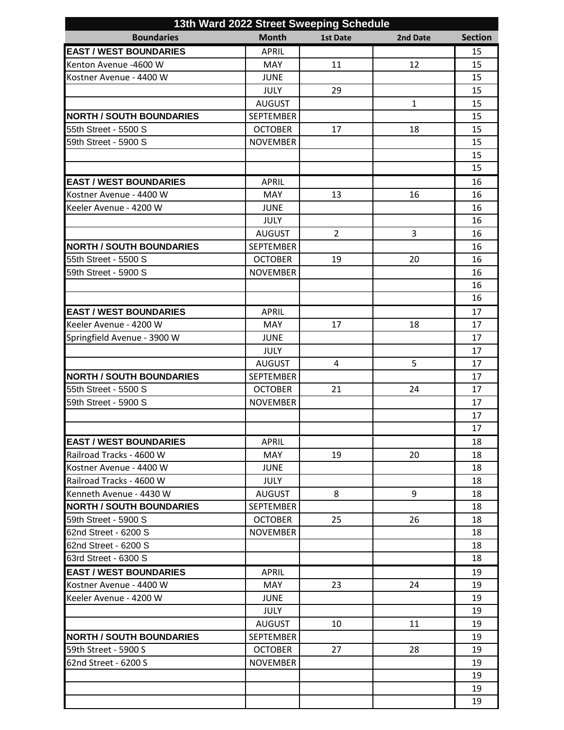|                                                      | 13th Ward 2022 Street Sweeping Schedule |                |  |  |  |
|------------------------------------------------------|-----------------------------------------|----------------|--|--|--|
| <b>Boundaries</b><br><b>Month</b><br><b>1st Date</b> | 2nd Date                                | <b>Section</b> |  |  |  |
| <b>EAST / WEST BOUNDARIES</b><br><b>APRIL</b>        |                                         | 15             |  |  |  |
| <b>MAY</b><br>11<br>Kenton Avenue -4600 W            | 12                                      | 15             |  |  |  |
| Kostner Avenue - 4400 W<br><b>JUNE</b>               |                                         | 15             |  |  |  |
| <b>JULY</b><br>29                                    |                                         | 15             |  |  |  |
| <b>AUGUST</b>                                        | $\mathbf{1}$                            | 15             |  |  |  |
| <b>NORTH / SOUTH BOUNDARIES</b><br><b>SEPTEMBER</b>  |                                         | 15             |  |  |  |
| <b>OCTOBER</b><br>55th Street - 5500 S<br>17         | 18                                      | 15             |  |  |  |
| <b>NOVEMBER</b><br>59th Street - 5900 S              |                                         | 15             |  |  |  |
|                                                      |                                         | 15             |  |  |  |
|                                                      |                                         | 15             |  |  |  |
| <b>EAST / WEST BOUNDARIES</b><br><b>APRIL</b>        |                                         | 16             |  |  |  |
| MAY<br>13<br>Kostner Avenue - 4400 W                 | 16                                      | 16             |  |  |  |
| Keeler Avenue - 4200 W<br><b>JUNE</b>                |                                         | 16             |  |  |  |
| <b>JULY</b>                                          |                                         | 16             |  |  |  |
| $\overline{2}$<br><b>AUGUST</b>                      | 3                                       | 16             |  |  |  |
| <b>NORTH / SOUTH BOUNDARIES</b><br><b>SEPTEMBER</b>  |                                         | 16             |  |  |  |
| 55th Street - 5500 S<br><b>OCTOBER</b><br>19         | 20                                      | 16             |  |  |  |
| 59th Street - 5900 S<br><b>NOVEMBER</b>              |                                         | 16             |  |  |  |
|                                                      |                                         | 16             |  |  |  |
|                                                      |                                         | 16             |  |  |  |
| <b>EAST / WEST BOUNDARIES</b><br><b>APRIL</b>        |                                         | 17             |  |  |  |
| Keeler Avenue - 4200 W<br><b>MAY</b><br>17           | 18                                      | 17             |  |  |  |
| Springfield Avenue - 3900 W<br><b>JUNE</b>           |                                         | 17             |  |  |  |
| <b>JULY</b>                                          |                                         | 17             |  |  |  |
| <b>AUGUST</b><br>4                                   | 5                                       | 17             |  |  |  |
| <b>NORTH / SOUTH BOUNDARIES</b><br><b>SEPTEMBER</b>  |                                         | 17             |  |  |  |
| 55th Street - 5500 S<br><b>OCTOBER</b><br>21         | 24                                      | 17             |  |  |  |
| 59th Street - 5900 S<br><b>NOVEMBER</b>              |                                         | 17             |  |  |  |
|                                                      |                                         | 17             |  |  |  |
|                                                      |                                         | 17             |  |  |  |
| <b>EAST / WEST BOUNDARIES</b><br><b>APRIL</b>        |                                         | 18             |  |  |  |
| 19<br>Railroad Tracks - 4600 W<br><b>MAY</b>         | 20                                      | 18             |  |  |  |
| Kostner Avenue - 4400 W<br><b>JUNE</b>               |                                         | 18             |  |  |  |
| Railroad Tracks - 4600 W<br><b>JULY</b>              |                                         | 18             |  |  |  |
| 8<br>Kenneth Avenue - 4430 W<br><b>AUGUST</b>        | 9                                       | 18             |  |  |  |
| <b>NORTH / SOUTH BOUNDARIES</b><br><b>SEPTEMBER</b>  |                                         | 18             |  |  |  |
| 59th Street - 5900 S<br><b>OCTOBER</b><br>25         | 26                                      | 18             |  |  |  |
| 62nd Street - 6200 S<br><b>NOVEMBER</b>              |                                         | 18             |  |  |  |
| 62nd Street - 6200 S                                 |                                         | 18             |  |  |  |
| 63rd Street - 6300 S                                 |                                         | 18             |  |  |  |
| <b>EAST / WEST BOUNDARIES</b><br><b>APRIL</b>        |                                         | 19             |  |  |  |
| MAY<br>23<br>Kostner Avenue - 4400 W                 | 24                                      | 19             |  |  |  |
| lKeeler Avenue - 4200 W<br>JUNE                      |                                         | 19             |  |  |  |
| <b>JULY</b>                                          |                                         | 19             |  |  |  |
| <b>AUGUST</b><br>10                                  | 11                                      | 19             |  |  |  |
| <b>INORTH / SOUTH BOUNDARIES</b><br><b>SEPTEMBER</b> |                                         | 19             |  |  |  |
| 27<br><b>59th Street - 5900 S</b><br><b>OCTOBER</b>  | 28                                      | 19             |  |  |  |
| 62nd Street - 6200 S<br><b>NOVEMBER</b>              |                                         | 19             |  |  |  |
|                                                      |                                         | 19             |  |  |  |
|                                                      |                                         | 19             |  |  |  |
|                                                      |                                         | 19             |  |  |  |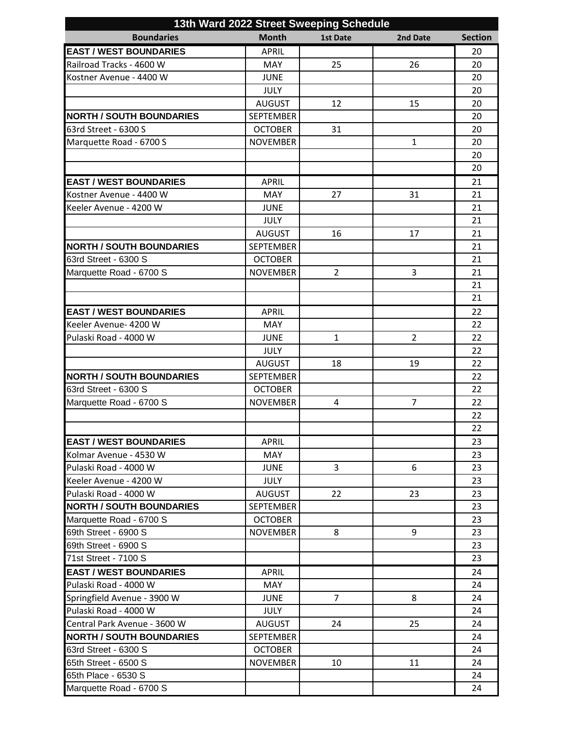| 13th Ward 2022 Street Sweeping Schedule |                  |                 |                |                |
|-----------------------------------------|------------------|-----------------|----------------|----------------|
| <b>Boundaries</b>                       | <b>Month</b>     | <b>1st Date</b> | 2nd Date       | <b>Section</b> |
| <b>EAST / WEST BOUNDARIES</b>           | <b>APRIL</b>     |                 |                | 20             |
| Railroad Tracks - 4600 W                | <b>MAY</b>       | 25              | 26             | 20             |
| Kostner Avenue - 4400 W                 | <b>JUNE</b>      |                 |                | 20             |
|                                         | <b>JULY</b>      |                 |                | 20             |
|                                         | <b>AUGUST</b>    | 12              | 15             | 20             |
| <b>NORTH / SOUTH BOUNDARIES</b>         | <b>SEPTEMBER</b> |                 |                | 20             |
| 63rd Street - 6300 S                    | <b>OCTOBER</b>   | 31              |                | 20             |
| Marquette Road - 6700 S                 | <b>NOVEMBER</b>  |                 | $\mathbf{1}$   | 20             |
|                                         |                  |                 |                | 20             |
|                                         |                  |                 |                | 20             |
| <b>EAST / WEST BOUNDARIES</b>           | <b>APRIL</b>     |                 |                | 21             |
| Kostner Avenue - 4400 W                 | MAY              | 27              | 31             | 21             |
| Keeler Avenue - 4200 W                  | <b>JUNE</b>      |                 |                | 21             |
|                                         | <b>JULY</b>      |                 |                | 21             |
|                                         | <b>AUGUST</b>    | 16              | 17             | 21             |
| <b>NORTH / SOUTH BOUNDARIES</b>         | <b>SEPTEMBER</b> |                 |                | 21             |
| 63rd Street - 6300 S                    | <b>OCTOBER</b>   |                 |                | 21             |
| Marquette Road - 6700 S                 | <b>NOVEMBER</b>  | $\overline{2}$  | 3              | 21             |
|                                         |                  |                 |                | 21             |
|                                         |                  |                 |                | 21             |
| <b>EAST / WEST BOUNDARIES</b>           | <b>APRIL</b>     |                 |                | 22             |
| Keeler Avenue- 4200 W                   | <b>MAY</b>       |                 |                | 22             |
| Pulaski Road - 4000 W                   | <b>JUNE</b>      | $\mathbf{1}$    | $\overline{2}$ | 22             |
|                                         | <b>JULY</b>      |                 |                | 22             |
|                                         | <b>AUGUST</b>    | 18              | 19             | 22             |
| <b>NORTH / SOUTH BOUNDARIES</b>         | <b>SEPTEMBER</b> |                 |                | 22             |
| 63rd Street - 6300 S                    | <b>OCTOBER</b>   |                 |                | 22             |
| Marquette Road - 6700 S                 | <b>NOVEMBER</b>  | 4               | $\overline{7}$ | 22             |
|                                         |                  |                 |                | 22             |
|                                         |                  |                 |                | 22             |
| <b>EAST / WEST BOUNDARIES</b>           | <b>APRIL</b>     |                 |                | 23             |
| Kolmar Avenue - 4530 W                  | <b>MAY</b>       |                 |                | 23             |
| Pulaski Road - 4000 W                   | <b>JUNE</b>      | 3               | 6              | 23             |
| Keeler Avenue - 4200 W                  | <b>JULY</b>      |                 |                | 23             |
| Pulaski Road - 4000 W                   | <b>AUGUST</b>    | 22              | 23             | 23             |
| <b>NORTH / SOUTH BOUNDARIES</b>         | SEPTEMBER        |                 |                | 23             |
| Marquette Road - 6700 S                 | <b>OCTOBER</b>   |                 |                | 23             |
| 69th Street - 6900 S                    | <b>NOVEMBER</b>  | 8               | 9              | 23             |
| 69th Street - 6900 S                    |                  |                 |                | 23             |
| 71st Street - 7100 S                    |                  |                 |                | 23             |
| <b>EAST / WEST BOUNDARIES</b>           | <b>APRIL</b>     |                 |                | 24             |
| Pulaski Road - 4000 W                   | MAY              |                 |                | 24             |
| Springfield Avenue - 3900 W             | <b>JUNE</b>      | 7               | 8              | 24             |
| Pulaski Road - 4000 W                   | <b>JULY</b>      |                 |                | 24             |
| Central Park Avenue - 3600 W            | <b>AUGUST</b>    | 24              | 25             | 24             |
| <b>NORTH / SOUTH BOUNDARIES</b>         | <b>SEPTEMBER</b> |                 |                | 24             |
| 63rd Street - 6300 S                    | <b>OCTOBER</b>   |                 |                | 24             |
| 65th Street - 6500 S                    | <b>NOVEMBER</b>  | 10              | 11             | 24             |
| 65th Place - 6530 S                     |                  |                 |                | 24             |
| Marquette Road - 6700 S                 |                  |                 |                | 24             |
|                                         |                  |                 |                |                |